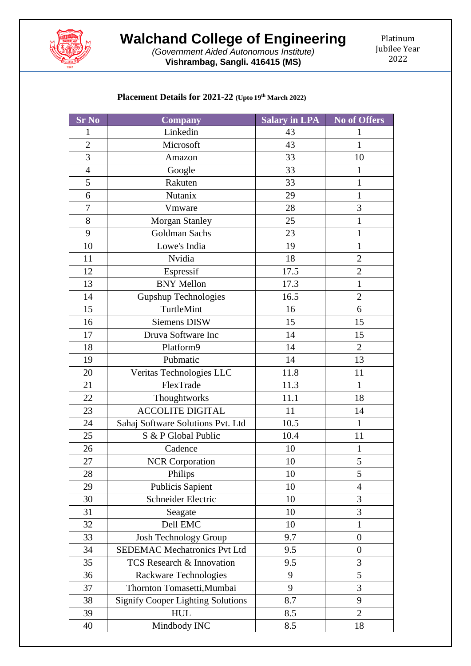

*(Government Aided Autonomous Institute)* **Vishrambag, Sangli. 416415 (MS)**

Platinum Jubilee Year 

## **Placement Details for 2021-22 (Upto 19 th March 2022)**

| <b>Sr No</b>     | <b>Company</b>                           | Salary in LPA | <b>No of Offers</b> |
|------------------|------------------------------------------|---------------|---------------------|
| $\mathbf{1}$     | Linkedin                                 | 43            | $\mathbf{1}$        |
| $\overline{2}$   | Microsoft                                | 43            | $\mathbf{1}$        |
| $\overline{3}$   | 33<br>Amazon                             |               | 10                  |
| $\overline{4}$   | Google                                   | 33            | $\mathbf{1}$        |
| 5                | Rakuten                                  | 33            | $\mathbf{1}$        |
| 6                | Nutanix                                  | 29            | $\mathbf{1}$        |
| $\boldsymbol{7}$ | Vmware                                   | 28            | 3                   |
| 8                | <b>Morgan Stanley</b>                    | 25            | $\mathbf{1}$        |
| 9                | Goldman Sachs                            | 23            | $\mathbf{1}$        |
| 10               | Lowe's India                             | 19            | $\mathbf{1}$        |
| 11               | Nvidia                                   | 18            | $\overline{2}$      |
| 12               | Espressif                                | 17.5          | $\overline{2}$      |
| 13               | <b>BNY Mellon</b>                        | 17.3          | $\mathbf{1}$        |
| 14               | <b>Gupshup Technologies</b>              | 16.5          | $\overline{2}$      |
| 15               | TurtleMint                               | 16            | 6                   |
| 16               | <b>Siemens DISW</b>                      | 15            | 15                  |
| 17               | Druva Software Inc                       | 14            | 15                  |
| 18               | Platform9                                | 14            | $\overline{2}$      |
| 19               | Pubmatic                                 | 14            | 13                  |
| 20               | Veritas Technologies LLC                 | 11.8          | 11                  |
| 21               | FlexTrade                                | 11.3          | $\mathbf{1}$        |
| 22               | Thoughtworks                             | 11.1          | 18                  |
| 23               | <b>ACCOLITE DIGITAL</b>                  | 11            | 14                  |
| 24               | Sahaj Software Solutions Pvt. Ltd        | 10.5          | $\mathbf{1}$        |
| 25               | S & P Global Public                      | 10.4          | 11                  |
| 26               | Cadence                                  | 10            | $\mathbf{1}$        |
| 27               | <b>NCR</b> Corporation                   | 10            | 5                   |
| 28               | Philips                                  | 10            | 5                   |
| 29               | Publicis Sapient                         | 10            | $\overline{4}$      |
| 30               | Schneider Electric                       | 10            | 3                   |
| 31               | Seagate                                  | 10            | 3                   |
| 32               | Dell EMC                                 | 10            | $\mathbf{1}$        |
| 33               | Josh Technology Group                    | 9.7           | $\boldsymbol{0}$    |
| 34               | <b>SEDEMAC Mechatronics Pvt Ltd</b>      | 9.5           | $\boldsymbol{0}$    |
| 35               | TCS Research & Innovation                | 9.5           | 3                   |
| 36               | Rackware Technologies                    | 9             | 5                   |
| 37               | Thornton Tomasetti, Mumbai               | 9             | 3                   |
| 38               | <b>Signify Cooper Lighting Solutions</b> | 8.7           | 9                   |
| 39               | <b>HUL</b>                               | 8.5           | $\overline{2}$      |
| 40               | Mindbody INC                             | 8.5           | 18                  |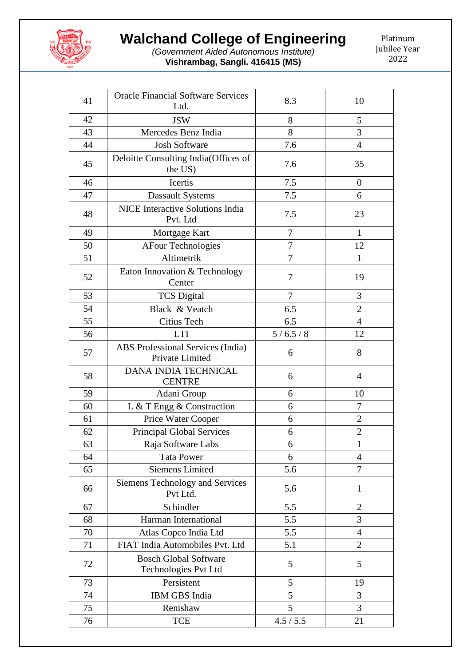

## **Walchand College of Engineering**

*(Government Aided Autonomous Institute)* **Vishrambag, Sangli. 416415 (MS)**

Platinum Jubilee Year 

| 41 | <b>Oracle Financial Software Services</b><br>8.3<br>Ltd. |                | 10               |
|----|----------------------------------------------------------|----------------|------------------|
| 42 | <b>JSW</b>                                               | 8              | 5                |
| 43 | Mercedes Benz India                                      | 8              | 3                |
| 44 | <b>Josh Software</b>                                     | 7.6            | 4                |
| 45 | Deloitte Consulting India(Offices of<br>the US)          | 7.6            | 35               |
| 46 | Icertis                                                  | 7.5            | $\boldsymbol{0}$ |
| 47 | <b>Dassault Systems</b>                                  | 7.5            | 6                |
| 48 | NICE Interactive Solutions India<br>Pvt. Ltd             | 7.5            | 23               |
| 49 | Mortgage Kart                                            | 7              | 1                |
| 50 | <b>AFour Technologies</b>                                | 7              | 12               |
| 51 | Altimetrik                                               | 7              | 1                |
| 52 | Eaton Innovation & Technology<br>Center                  | 7              | 19               |
| 53 | <b>TCS Digital</b>                                       | $\overline{7}$ | 3                |
| 54 | Black & Veatch                                           | 6.5            | $\overline{2}$   |
| 55 | Citius Tech                                              | 6.5            | $\overline{4}$   |
| 56 | <b>LTI</b>                                               | 5/6.5/8        | 12               |
| 57 | ABS Professional Services (India)<br>Private Limited     | 6              | 8                |
| 58 | DANA INDIA TECHNICAL<br><b>CENTRE</b>                    | 6              | 4                |
| 59 | Adani Group                                              | 6              | 10               |
| 60 | L & T Engg & Construction                                | 6              | $\boldsymbol{7}$ |
| 61 | Price Water Cooper                                       | 6              | $\overline{2}$   |
| 62 | <b>Principal Global Services</b>                         | 6              | $\overline{2}$   |
| 63 | Raja Software Labs                                       | 6              | $\mathbf{1}$     |
| 64 | <b>Tata Power</b>                                        | 6              | $\overline{4}$   |
| 65 | <b>Siemens Limited</b>                                   | 5.6            | 7                |
| 66 | <b>Siemens Technology and Services</b><br>Pvt Ltd.       | 5.6            | $\mathbf{1}$     |
| 67 | Schindler                                                | 5.5            | $\overline{2}$   |
| 68 | Harman International                                     | 5.5            | 3                |
| 70 | Atlas Copco India Ltd                                    | 5.5            | 4                |
| 71 | FIAT India Automobiles Pvt. Ltd                          | 5.1            | $\overline{2}$   |
| 72 | <b>Bosch Global Software</b><br>Technologies Pvt Ltd     | 5              | 5                |
| 73 | Persistent                                               | 5              | 19               |
| 74 | IBM GBS India                                            | 5              | 3                |
| 75 | Renishaw                                                 | 5              | 3                |
| 76 | TCE                                                      | 4.5 / 5.5      | 21               |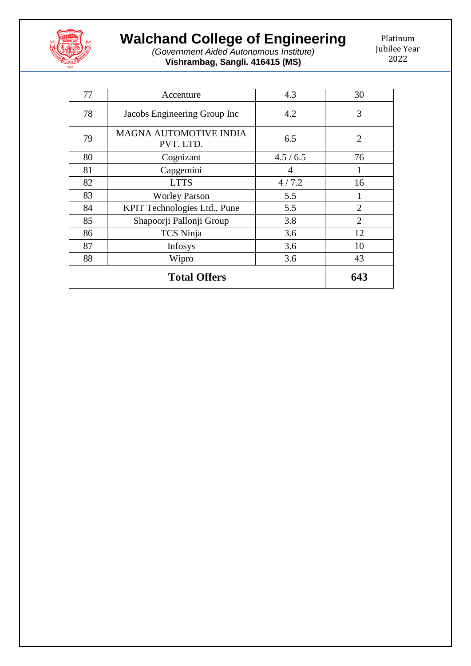

## **Walchand College of Engineering**

*(Government Aided Autonomous Institute)* **Vishrambag, Sangli. 416415 (MS)**

Platinum Jubilee Year 

| 77 | Accenture                                  | 4.3     | 30             |
|----|--------------------------------------------|---------|----------------|
| 78 | Jacobs Engineering Group Inc               | 4.2     | 3              |
| 79 | <b>MAGNA AUTOMOTIVE INDIA</b><br>PVT. LTD. | 6.5     | $\overline{2}$ |
| 80 | Cognizant                                  | 4.5/6.5 | 76             |
| 81 | Capgemini                                  | 4       | 1              |
| 82 | <b>LTTS</b>                                | 4/7.2   | 16             |
| 83 | <b>Worley Parson</b>                       | 5.5     |                |
| 84 | KPIT Technologies Ltd., Pune               | 5.5     | $\overline{2}$ |
| 85 | Shapoorji Pallonji Group                   | 3.8     | $\overline{2}$ |
| 86 | TCS Ninja                                  | 3.6     | 12             |
| 87 | <b>Infosys</b>                             | 3.6     | 10             |
| 88 | 3.6<br>Wipro                               |         | 43             |
|    | 643                                        |         |                |